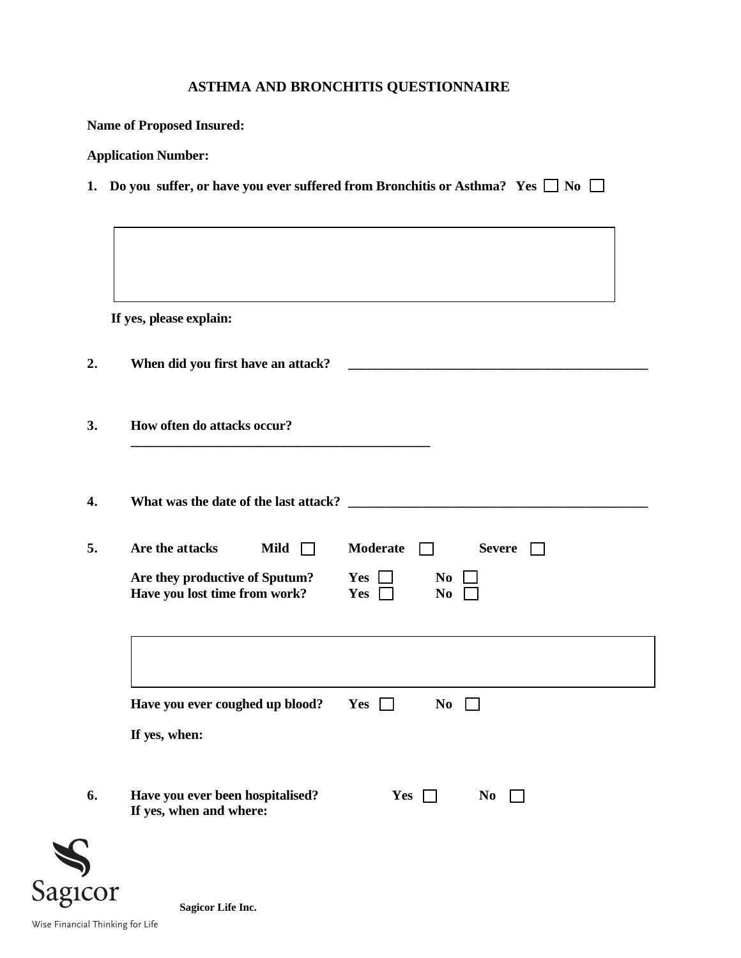## **ASTHMA AND BRONCHITIS QUESTIONNAIRE**

|    |                                                                                                   | 1. Do you suffer, or have you ever suffered from Bronchitis or Asthma? Yes $\Box$ No $\Box$ |
|----|---------------------------------------------------------------------------------------------------|---------------------------------------------------------------------------------------------|
|    | If yes, please explain:                                                                           |                                                                                             |
| 2. | When did you first have an attack?                                                                |                                                                                             |
| 3. | How often do attacks occur?                                                                       |                                                                                             |
| 4. |                                                                                                   |                                                                                             |
| 5. | Are the attacks<br>Mild $\Box$<br>Are they productive of Sputum?<br>Have you lost time from work? | Moderate<br><b>Severe</b><br>$\Box$<br>Yes  <br>N <sub>0</sub><br>Yes<br>N <sub>0</sub>     |
|    | Have you ever coughed up blood?<br>If yes, when:                                                  | Yes $\Box$<br>N <sub>0</sub><br>$\perp$                                                     |
| 6. | Have you ever been hospitalised?<br>If yes, when and where:                                       | Yes<br>N <sub>0</sub>                                                                       |